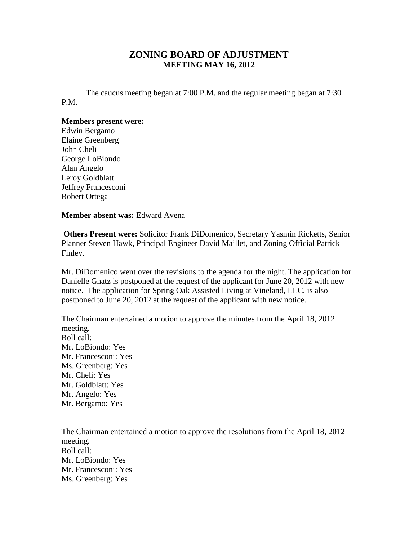## **ZONING BOARD OF ADJUSTMENT MEETING MAY 16, 2012**

The caucus meeting began at 7:00 P.M. and the regular meeting began at 7:30 P.M.

## **Members present were:**

Edwin Bergamo Elaine Greenberg John Cheli George LoBiondo Alan Angelo Leroy Goldblatt Jeffrey Francesconi Robert Ortega

**Member absent was:** Edward Avena

**Others Present were:** Solicitor Frank DiDomenico, Secretary Yasmin Ricketts, Senior Planner Steven Hawk, Principal Engineer David Maillet, and Zoning Official Patrick Finley.

Mr. DiDomenico went over the revisions to the agenda for the night. The application for Danielle Gnatz is postponed at the request of the applicant for June 20, 2012 with new notice. The application for Spring Oak Assisted Living at Vineland, LLC, is also postponed to June 20, 2012 at the request of the applicant with new notice.

The Chairman entertained a motion to approve the minutes from the April 18, 2012 meeting. Roll call: Mr. LoBiondo: Yes Mr. Francesconi: Yes Ms. Greenberg: Yes Mr. Cheli: Yes Mr. Goldblatt: Yes Mr. Angelo: Yes Mr. Bergamo: Yes

The Chairman entertained a motion to approve the resolutions from the April 18, 2012 meeting. Roll call: Mr. LoBiondo: Yes Mr. Francesconi: Yes Ms. Greenberg: Yes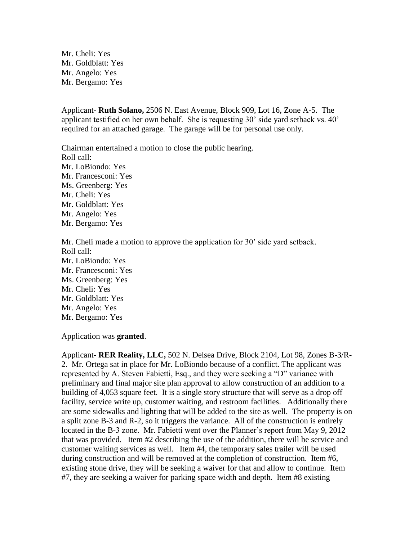Mr. Cheli: Yes Mr. Goldblatt: Yes Mr. Angelo: Yes Mr. Bergamo: Yes

Applicant- **Ruth Solano,** 2506 N. East Avenue, Block 909, Lot 16, Zone A-5. The applicant testified on her own behalf. She is requesting 30' side yard setback vs. 40' required for an attached garage. The garage will be for personal use only.

Chairman entertained a motion to close the public hearing. Roll call: Mr. LoBiondo: Yes Mr. Francesconi: Yes Ms. Greenberg: Yes Mr. Cheli: Yes Mr. Goldblatt: Yes Mr. Angelo: Yes Mr. Bergamo: Yes

Mr. Cheli made a motion to approve the application for 30' side yard setback. Roll call: Mr. LoBiondo: Yes Mr. Francesconi: Yes Ms. Greenberg: Yes Mr. Cheli: Yes Mr. Goldblatt: Yes Mr. Angelo: Yes Mr. Bergamo: Yes

Application was **granted**.

Applicant- **RER Reality, LLC,** 502 N. Delsea Drive, Block 2104, Lot 98, Zones B-3/R-2. Mr. Ortega sat in place for Mr. LoBiondo because of a conflict. The applicant was represented by A. Steven Fabietti, Esq., and they were seeking a "D" variance with preliminary and final major site plan approval to allow construction of an addition to a building of 4,053 square feet. It is a single story structure that will serve as a drop off facility, service write up, customer waiting, and restroom facilities. Additionally there are some sidewalks and lighting that will be added to the site as well. The property is on a split zone B-3 and R-2, so it triggers the variance. All of the construction is entirely located in the B-3 zone. Mr. Fabietti went over the Planner's report from May 9, 2012 that was provided. Item #2 describing the use of the addition, there will be service and customer waiting services as well. Item #4, the temporary sales trailer will be used during construction and will be removed at the completion of construction. Item #6, existing stone drive, they will be seeking a waiver for that and allow to continue. Item #7, they are seeking a waiver for parking space width and depth. Item #8 existing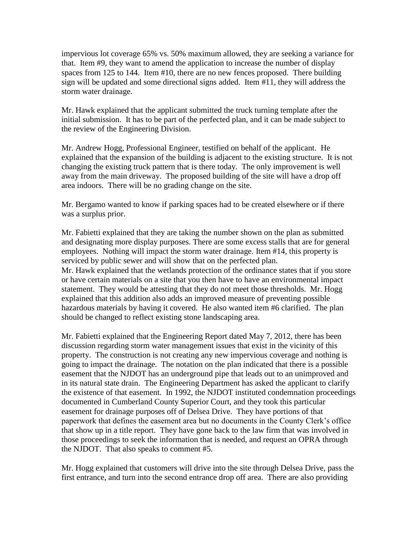impervious lot coverage 65% vs. 50% maximum allowed, they are seeking a variance for that. Item #9, they want to amend the application to increase the number of display spaces from 125 to 144. Item #10, there are no new fences proposed. There building sign will be updated and some directional signs added. Item #11, they will address the storm water drainage.

Mr. Hawk explained that the applicant submitted the truck turning template after the initial submission. It has to be part of the perfected plan, and it can be made subject to the review of the Engineering Division.

Mr. Andrew Hogg, Professional Engineer, testified on behalf of the applicant. He explained that the expansion of the building is adjacent to the existing structure. It is not changing the existing truck pattern that is there today. The only improvement is well away from the main driveway. The proposed building of the site will have a drop off area indoors. There will be no grading change on the site.

Mr. Bergamo wanted to know if parking spaces had to be created elsewhere or if there was a surplus prior.

Mr. Fabietti explained that they are taking the number shown on the plan as submitted and designating more display purposes. There are some excess stalls that are for general employees. Nothing will impact the storm water drainage. Item #14, this property is serviced by public sewer and will show that on the perfected plan. Mr. Hawk explained that the wetlands protection of the ordinance states that if you store or have certain materials on a site that you then have to have an environmental impact statement. They would be attesting that they do not meet those thresholds. Mr. Hogg explained that this addition also adds an improved measure of preventing possible hazardous materials by having it covered. He also wanted item #6 clarified. The plan should be changed to reflect existing stone landscaping area.

Mr. Fabietti explained that the Engineering Report dated May 7, 2012, there has been discussion regarding storm water management issues that exist in the vicinity of this property. The construction is not creating any new impervious coverage and nothing is going to impact the drainage. The notation on the plan indicated that there is a possible easement that the NJDOT has an underground pipe that leads out to an unimproved and in its natural state drain. The Engineering Department has asked the applicant to clarify the existence of that easement. In 1992, the NJDOT instituted condemnation proceedings documented in Cumberland County Superior Court, and they took this particular easement for drainage purposes off of Delsea Drive. They have portions of that paperwork that defines the easement area but no documents in the County Clerk's office that show up in a title report. They have gone back to the law firm that was involved in those proceedings to seek the information that is needed, and request an OPRA through the NJDOT. That also speaks to comment #5.

Mr. Hogg explained that customers will drive into the site through Delsea Drive, pass the first entrance, and turn into the second entrance drop off area. There are also providing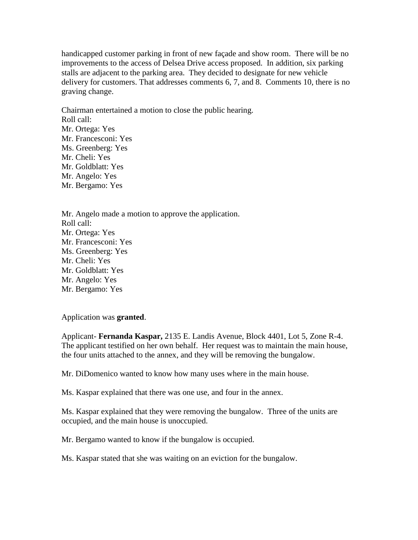handicapped customer parking in front of new façade and show room. There will be no improvements to the access of Delsea Drive access proposed. In addition, six parking stalls are adjacent to the parking area. They decided to designate for new vehicle delivery for customers. That addresses comments 6, 7, and 8. Comments 10, there is no graving change.

Chairman entertained a motion to close the public hearing. Roll call: Mr. Ortega: Yes Mr. Francesconi: Yes Ms. Greenberg: Yes Mr. Cheli: Yes Mr. Goldblatt: Yes Mr. Angelo: Yes Mr. Bergamo: Yes

Mr. Angelo made a motion to approve the application. Roll call: Mr. Ortega: Yes Mr. Francesconi: Yes Ms. Greenberg: Yes Mr. Cheli: Yes Mr. Goldblatt: Yes Mr. Angelo: Yes Mr. Bergamo: Yes

Application was **granted**.

Applicant- **Fernanda Kaspar,** 2135 E. Landis Avenue, Block 4401, Lot 5, Zone R-4. The applicant testified on her own behalf. Her request was to maintain the main house, the four units attached to the annex, and they will be removing the bungalow.

Mr. DiDomenico wanted to know how many uses where in the main house.

Ms. Kaspar explained that there was one use, and four in the annex.

Ms. Kaspar explained that they were removing the bungalow. Three of the units are occupied, and the main house is unoccupied.

Mr. Bergamo wanted to know if the bungalow is occupied.

Ms. Kaspar stated that she was waiting on an eviction for the bungalow.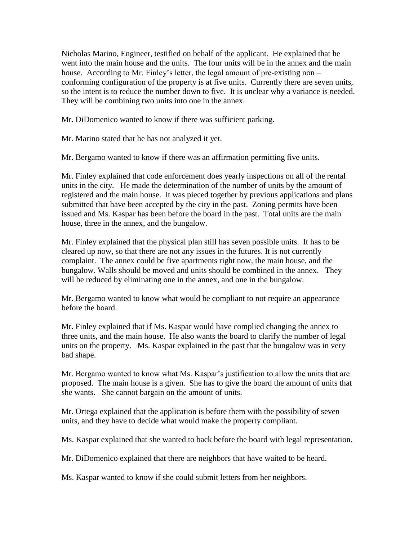Nicholas Marino, Engineer, testified on behalf of the applicant. He explained that he went into the main house and the units. The four units will be in the annex and the main house. According to Mr. Finley's letter, the legal amount of pre-existing non – conforming configuration of the property is at five units. Currently there are seven units, so the intent is to reduce the number down to five. It is unclear why a variance is needed. They will be combining two units into one in the annex.

Mr. DiDomenico wanted to know if there was sufficient parking.

Mr. Marino stated that he has not analyzed it yet.

Mr. Bergamo wanted to know if there was an affirmation permitting five units.

Mr. Finley explained that code enforcement does yearly inspections on all of the rental units in the city. He made the determination of the number of units by the amount of registered and the main house. It was pieced together by previous applications and plans submitted that have been accepted by the city in the past. Zoning permits have been issued and Ms. Kaspar has been before the board in the past. Total units are the main house, three in the annex, and the bungalow.

Mr. Finley explained that the physical plan still has seven possible units. It has to be cleared up now, so that there are not any issues in the futures. It is not currently complaint. The annex could be five apartments right now, the main house, and the bungalow. Walls should be moved and units should be combined in the annex. They will be reduced by eliminating one in the annex, and one in the bungalow.

Mr. Bergamo wanted to know what would be compliant to not require an appearance before the board.

Mr. Finley explained that if Ms. Kaspar would have complied changing the annex to three units, and the main house. He also wants the board to clarify the number of legal units on the property. Ms. Kaspar explained in the past that the bungalow was in very bad shape.

Mr. Bergamo wanted to know what Ms. Kaspar's justification to allow the units that are proposed. The main house is a given. She has to give the board the amount of units that she wants. She cannot bargain on the amount of units.

Mr. Ortega explained that the application is before them with the possibility of seven units, and they have to decide what would make the property compliant.

Ms. Kaspar explained that she wanted to back before the board with legal representation.

Mr. DiDomenico explained that there are neighbors that have waited to be heard.

Ms. Kaspar wanted to know if she could submit letters from her neighbors.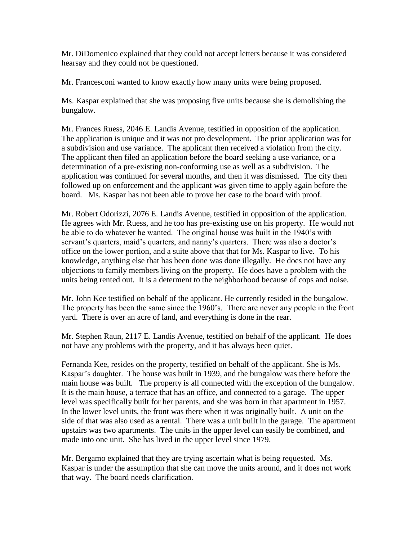Mr. DiDomenico explained that they could not accept letters because it was considered hearsay and they could not be questioned.

Mr. Francesconi wanted to know exactly how many units were being proposed.

Ms. Kaspar explained that she was proposing five units because she is demolishing the bungalow.

Mr. Frances Ruess, 2046 E. Landis Avenue, testified in opposition of the application. The application is unique and it was not pro development. The prior application was for a subdivision and use variance. The applicant then received a violation from the city. The applicant then filed an application before the board seeking a use variance, or a determination of a pre-existing non-conforming use as well as a subdivision. The application was continued for several months, and then it was dismissed. The city then followed up on enforcement and the applicant was given time to apply again before the board. Ms. Kaspar has not been able to prove her case to the board with proof.

Mr. Robert Odorizzi, 2076 E. Landis Avenue, testified in opposition of the application. He agrees with Mr. Ruess, and he too has pre-existing use on his property. He would not be able to do whatever he wanted. The original house was built in the 1940's with servant's quarters, maid's quarters, and nanny's quarters. There was also a doctor's office on the lower portion, and a suite above that that for Ms. Kaspar to live. To his knowledge, anything else that has been done was done illegally. He does not have any objections to family members living on the property. He does have a problem with the units being rented out. It is a determent to the neighborhood because of cops and noise.

Mr. John Kee testified on behalf of the applicant. He currently resided in the bungalow. The property has been the same since the 1960's. There are never any people in the front yard. There is over an acre of land, and everything is done in the rear.

Mr. Stephen Raun, 2117 E. Landis Avenue, testified on behalf of the applicant. He does not have any problems with the property, and it has always been quiet.

Fernanda Kee, resides on the property, testified on behalf of the applicant. She is Ms. Kaspar's daughter. The house was built in 1939, and the bungalow was there before the main house was built. The property is all connected with the exception of the bungalow. It is the main house, a terrace that has an office, and connected to a garage. The upper level was specifically built for her parents, and she was born in that apartment in 1957. In the lower level units, the front was there when it was originally built. A unit on the side of that was also used as a rental. There was a unit built in the garage. The apartment upstairs was two apartments. The units in the upper level can easily be combined, and made into one unit. She has lived in the upper level since 1979.

Mr. Bergamo explained that they are trying ascertain what is being requested. Ms. Kaspar is under the assumption that she can move the units around, and it does not work that way. The board needs clarification.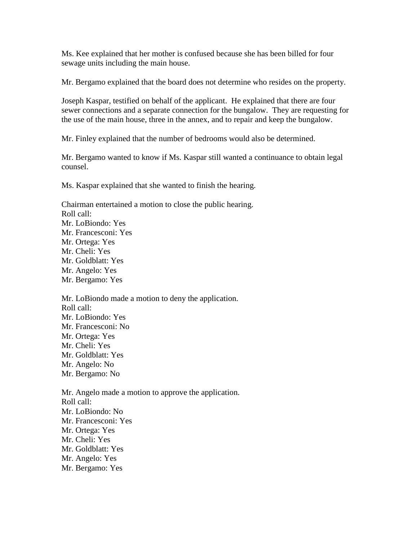Ms. Kee explained that her mother is confused because she has been billed for four sewage units including the main house.

Mr. Bergamo explained that the board does not determine who resides on the property.

Joseph Kaspar, testified on behalf of the applicant. He explained that there are four sewer connections and a separate connection for the bungalow. They are requesting for the use of the main house, three in the annex, and to repair and keep the bungalow.

Mr. Finley explained that the number of bedrooms would also be determined.

Mr. Bergamo wanted to know if Ms. Kaspar still wanted a continuance to obtain legal counsel.

Ms. Kaspar explained that she wanted to finish the hearing.

Chairman entertained a motion to close the public hearing. Roll call: Mr. LoBiondo: Yes Mr. Francesconi: Yes Mr. Ortega: Yes Mr. Cheli: Yes Mr. Goldblatt: Yes Mr. Angelo: Yes Mr. Bergamo: Yes

Mr. LoBiondo made a motion to deny the application. Roll call: Mr. LoBiondo: Yes Mr. Francesconi: No Mr. Ortega: Yes Mr. Cheli: Yes Mr. Goldblatt: Yes Mr. Angelo: No Mr. Bergamo: No

Mr. Angelo made a motion to approve the application. Roll call: Mr. LoBiondo: No Mr. Francesconi: Yes Mr. Ortega: Yes Mr. Cheli: Yes Mr. Goldblatt: Yes Mr. Angelo: Yes Mr. Bergamo: Yes